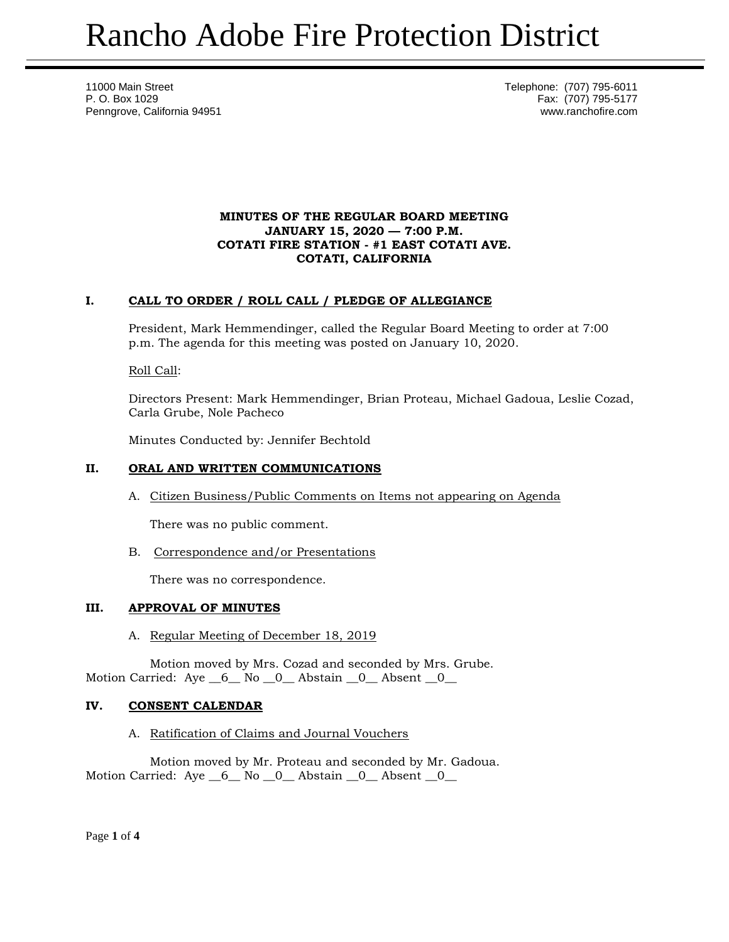11000 Main Street **Telephone:** (707) 795-6011 P. O. Box 1029 Fax: (707) 795-5177 Penngrove, California 94951 www.ranchofire.com

### **MINUTES OF THE REGULAR BOARD MEETING JANUARY 15, 2020 — 7:00 P.M. COTATI FIRE STATION - #1 EAST COTATI AVE. COTATI, CALIFORNIA**

# **I. CALL TO ORDER / ROLL CALL / PLEDGE OF ALLEGIANCE**

President, Mark Hemmendinger, called the Regular Board Meeting to order at 7:00 p.m. The agenda for this meeting was posted on January 10, 2020.

Roll Call:

Directors Present: Mark Hemmendinger, Brian Proteau, Michael Gadoua, Leslie Cozad, Carla Grube, Nole Pacheco

Minutes Conducted by: Jennifer Bechtold

### **II. ORAL AND WRITTEN COMMUNICATIONS**

A. Citizen Business/Public Comments on Items not appearing on Agenda

There was no public comment.

B. Correspondence and/or Presentations

There was no correspondence.

# **III. APPROVAL OF MINUTES**

A. Regular Meeting of December 18, 2019

Motion moved by Mrs. Cozad and seconded by Mrs. Grube. Motion Carried:  $Aye_6$  No  $0$  Abstain  $0$  Absent  $0$ 

## **IV. CONSENT CALENDAR**

A. Ratification of Claims and Journal Vouchers

Motion moved by Mr. Proteau and seconded by Mr. Gadoua. Motion Carried: Aye  $\_6\_$  No  $\_0\_$  Abstain  $\_0\_$  Absent  $\_0\_$ 

Page **1** of **4**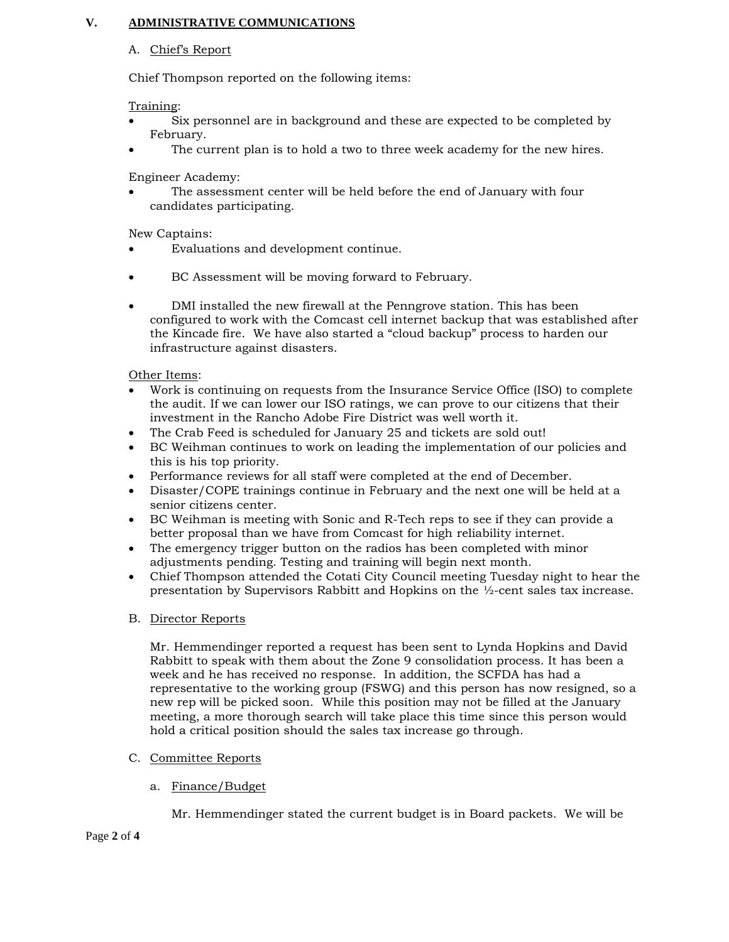## **V. ADMINISTRATIVE COMMUNICATIONS**

### A. Chief's Report

Chief Thompson reported on the following items:

Training:

- Six personnel are in background and these are expected to be completed by February.
- The current plan is to hold a two to three week academy for the new hires.

Engineer Academy:

 The assessment center will be held before the end of January with four candidates participating.

New Captains:

- Evaluations and development continue.
- BC Assessment will be moving forward to February.
- DMI installed the new firewall at the Penngrove station. This has been configured to work with the Comcast cell internet backup that was established after the Kincade fire. We have also started a "cloud backup" process to harden our infrastructure against disasters.

Other Items:

- Work is continuing on requests from the Insurance Service Office (ISO) to complete the audit. If we can lower our ISO ratings, we can prove to our citizens that their investment in the Rancho Adobe Fire District was well worth it.
- The Crab Feed is scheduled for January 25 and tickets are sold out!
- BC Weihman continues to work on leading the implementation of our policies and this is his top priority.
- Performance reviews for all staff were completed at the end of December.
- Disaster/COPE trainings continue in February and the next one will be held at a senior citizens center.
- BC Weihman is meeting with Sonic and R-Tech reps to see if they can provide a better proposal than we have from Comcast for high reliability internet.
- The emergency trigger button on the radios has been completed with minor adjustments pending. Testing and training will begin next month.
- Chief Thompson attended the Cotati City Council meeting Tuesday night to hear the presentation by Supervisors Rabbitt and Hopkins on the ½-cent sales tax increase.

#### B. Director Reports

Mr. Hemmendinger reported a request has been sent to Lynda Hopkins and David Rabbitt to speak with them about the Zone 9 consolidation process. It has been a week and he has received no response. In addition, the SCFDA has had a representative to the working group (FSWG) and this person has now resigned, so a new rep will be picked soon. While this position may not be filled at the January meeting, a more thorough search will take place this time since this person would hold a critical position should the sales tax increase go through.

- C. Committee Reports
	- a. Finance/Budget

Mr. Hemmendinger stated the current budget is in Board packets. We will be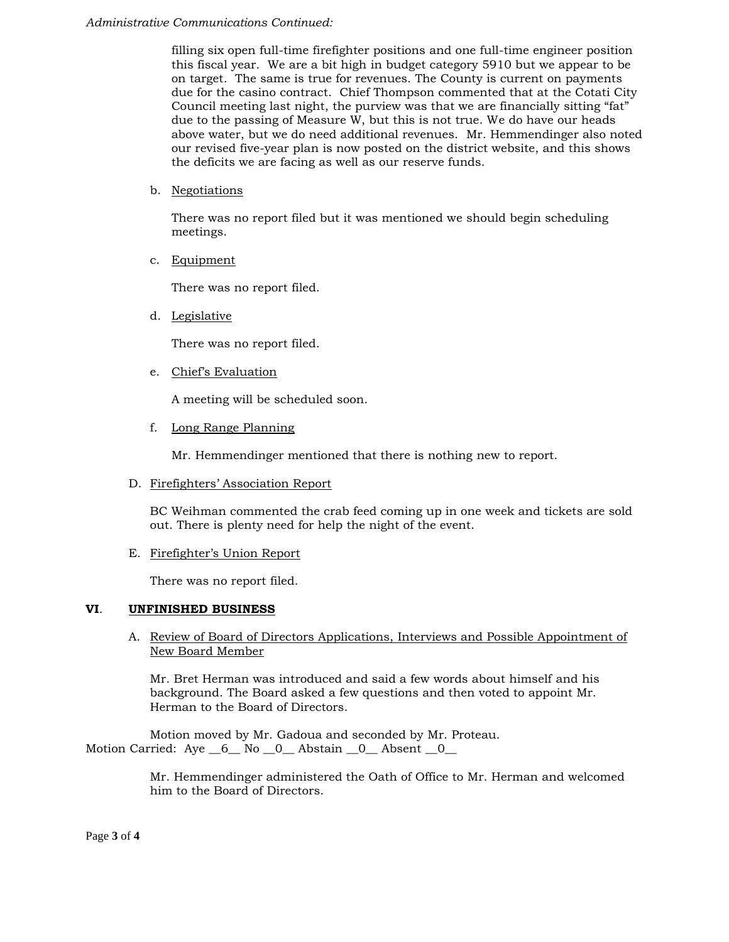#### *Administrative Communications Continued:*

filling six open full-time firefighter positions and one full-time engineer position this fiscal year. We are a bit high in budget category 5910 but we appear to be on target. The same is true for revenues. The County is current on payments due for the casino contract. Chief Thompson commented that at the Cotati City Council meeting last night, the purview was that we are financially sitting "fat" due to the passing of Measure W, but this is not true. We do have our heads above water, but we do need additional revenues. Mr. Hemmendinger also noted our revised five-year plan is now posted on the district website, and this shows the deficits we are facing as well as our reserve funds.

b. Negotiations

There was no report filed but it was mentioned we should begin scheduling meetings.

c. Equipment

There was no report filed.

d. Legislative

There was no report filed.

e. Chief's Evaluation

A meeting will be scheduled soon.

f. Long Range Planning

Mr. Hemmendinger mentioned that there is nothing new to report.

#### D. Firefighters' Association Report

BC Weihman commented the crab feed coming up in one week and tickets are sold out. There is plenty need for help the night of the event.

#### E. Firefighter's Union Report

There was no report filed.

## **VI**. **UNFINISHED BUSINESS**

A. Review of Board of Directors Applications, Interviews and Possible Appointment of New Board Member

Mr. Bret Herman was introduced and said a few words about himself and his background. The Board asked a few questions and then voted to appoint Mr. Herman to the Board of Directors.

Motion moved by Mr. Gadoua and seconded by Mr. Proteau. Motion Carried: Aye 6 No 0 Abstain 0 Absent 0

> Mr. Hemmendinger administered the Oath of Office to Mr. Herman and welcomed him to the Board of Directors.